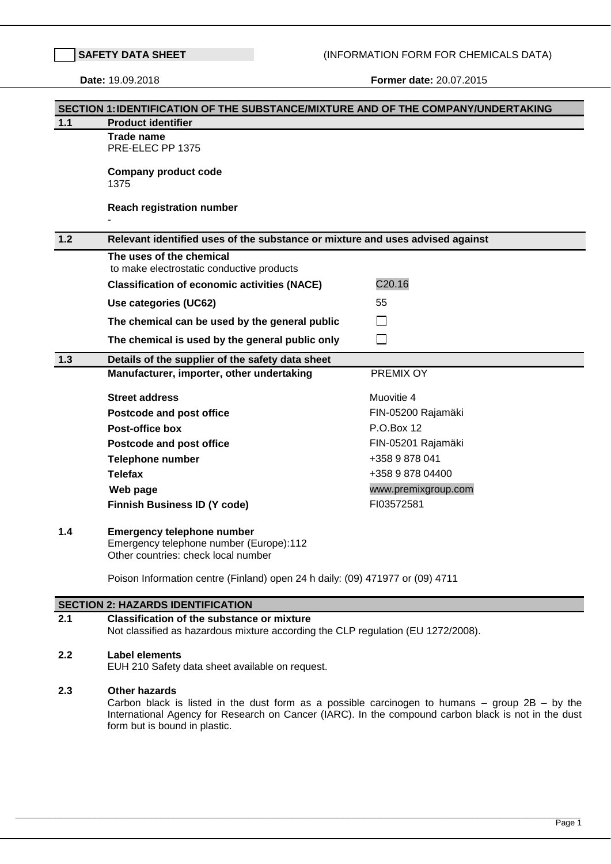**SAFET** (INFORMATION FORM FOR CHEMICALS DATA)

**Date:** 19.09.2018 **Former date:** 20.07.2015

|       | SECTION 1: IDENTIFICATION OF THE SUBSTANCE/MIXTURE AND OF THE COMPANY/UNDERTAKING                                                                                                                                                                                  |                     |
|-------|--------------------------------------------------------------------------------------------------------------------------------------------------------------------------------------------------------------------------------------------------------------------|---------------------|
| $1.1$ | <b>Product identifier</b>                                                                                                                                                                                                                                          |                     |
|       | <b>Trade name</b><br>PRE-ELEC PP 1375                                                                                                                                                                                                                              |                     |
|       | <b>Company product code</b><br>1375                                                                                                                                                                                                                                |                     |
|       | <b>Reach registration number</b>                                                                                                                                                                                                                                   |                     |
| $1.2$ | Relevant identified uses of the substance or mixture and uses advised against                                                                                                                                                                                      |                     |
|       | The uses of the chemical<br>to make electrostatic conductive products                                                                                                                                                                                              |                     |
|       | <b>Classification of economic activities (NACE)</b>                                                                                                                                                                                                                | C20.16              |
|       | Use categories (UC62)                                                                                                                                                                                                                                              | 55                  |
|       | The chemical can be used by the general public                                                                                                                                                                                                                     |                     |
|       | The chemical is used by the general public only                                                                                                                                                                                                                    | $\blacksquare$      |
| 1.3   | Details of the supplier of the safety data sheet                                                                                                                                                                                                                   |                     |
|       | Manufacturer, importer, other undertaking                                                                                                                                                                                                                          | PREMIX OY           |
|       | <b>Street address</b>                                                                                                                                                                                                                                              | Muovitie 4          |
|       | <b>Postcode and post office</b>                                                                                                                                                                                                                                    | FIN-05200 Rajamäki  |
|       | <b>Post-office box</b>                                                                                                                                                                                                                                             | P.O.Box 12          |
|       | <b>Postcode and post office</b>                                                                                                                                                                                                                                    | FIN-05201 Rajamäki  |
|       | <b>Telephone number</b>                                                                                                                                                                                                                                            | +358 9 878 041      |
|       | <b>Telefax</b>                                                                                                                                                                                                                                                     | +358 9 878 04400    |
|       | Web page                                                                                                                                                                                                                                                           | www.premixgroup.com |
|       | <b>Finnish Business ID (Y code)</b>                                                                                                                                                                                                                                | FI03572581          |
| 1.4   | <b>Emergency telephone number</b><br>Emergency telephone number (Europe):112<br>Other countries: check local number                                                                                                                                                |                     |
|       | Poison Information centre (Finland) open 24 h daily: (09) 471977 or (09) 4711                                                                                                                                                                                      |                     |
|       | <b>SECTION 2: HAZARDS IDENTIFICATION</b>                                                                                                                                                                                                                           |                     |
| 2.1   | <b>Classification of the substance or mixture</b><br>Not classified as hazardous mixture according the CLP regulation (EU 1272/2008).                                                                                                                              |                     |
| 2.2   | <b>Label elements</b><br>EUH 210 Safety data sheet available on request.                                                                                                                                                                                           |                     |
| 2.3   | <b>Other hazards</b><br>Carbon black is listed in the dust form as a possible carcinogen to humans $-$ group $2B - by$ the<br>International Agency for Research on Cancer (IARC). In the compound carbon black is not in the dust<br>form but is bound in plastic. |                     |

,我们也不能在这里的时候,我们也不能在这里,我们也不能在这里的时候,我们也不能在这里,我们也不能在这里的时候,我们也不能在这里的时候,我们也不能会不能在这里的时候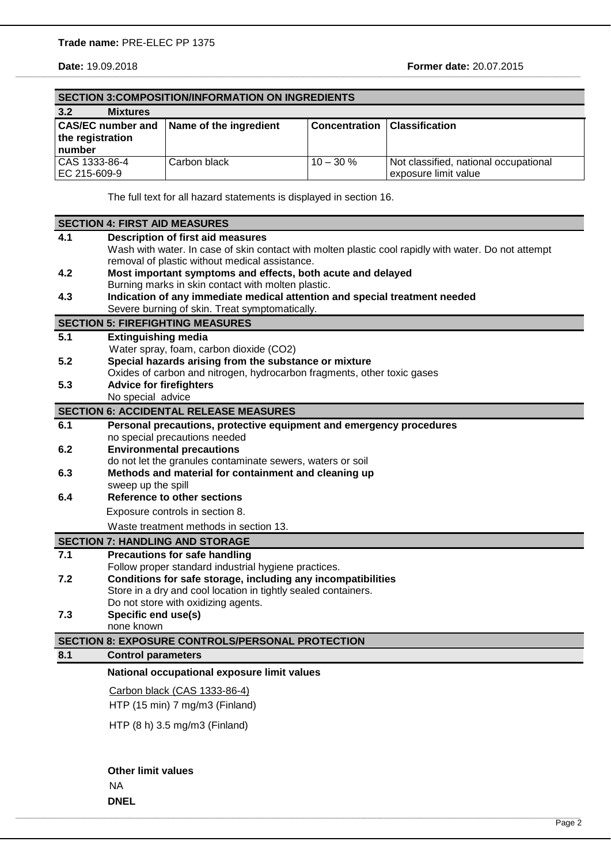|                               | <b>SECTION 3: COMPOSITION/INFORMATION ON INGREDIENTS</b> |                      |                                                               |
|-------------------------------|----------------------------------------------------------|----------------------|---------------------------------------------------------------|
| 3.2<br><b>Mixtures</b>        |                                                          |                      |                                                               |
| the registration<br>number    | CAS/EC number and Name of the ingredient                 | <b>Concentration</b> | <b>Classification</b>                                         |
| CAS 1333-86-4<br>EC 215-609-9 | Carbon black                                             | $10 - 30 \%$         | Not classified, national occupational<br>exposure limit value |

\_\_\_\_\_\_\_\_\_\_\_\_\_\_\_\_\_\_\_\_\_\_\_\_\_\_\_\_\_\_\_\_\_\_\_\_\_\_\_\_\_\_\_\_\_\_\_\_\_\_\_\_\_\_\_\_\_\_\_\_\_\_\_\_\_\_\_\_\_\_\_\_\_\_\_\_\_\_\_\_\_\_\_\_\_\_\_\_\_\_\_\_\_\_\_\_\_\_\_\_\_\_\_\_\_\_\_\_\_\_\_\_\_\_\_\_\_\_\_\_\_\_\_\_\_\_\_\_\_\_\_\_\_\_\_\_\_\_\_\_\_\_\_\_\_\_\_\_\_\_\_\_\_\_\_\_\_\_\_\_\_\_\_\_\_\_\_\_\_\_\_\_\_\_\_\_\_\_\_\_\_\_\_\_\_\_\_\_\_\_\_\_\_\_\_\_\_\_\_\_\_\_\_\_\_\_\_\_\_\_\_\_\_\_\_\_\_\_\_\_\_\_\_\_\_\_\_\_\_\_\_\_\_\_\_\_\_\_\_\_\_\_\_\_\_\_\_\_\_\_\_\_\_\_\_

The full text for all hazard statements is displayed in section 16.

| 4.1<br><b>Description of first aid measures</b><br>Wash with water. In case of skin contact with molten plastic cool rapidly with water. Do not attempt<br>removal of plastic without medical assistance.<br>4.2<br>Most important symptoms and effects, both acute and delayed<br>Burning marks in skin contact with molten plastic.<br>Indication of any immediate medical attention and special treatment needed<br>4.3<br>Severe burning of skin. Treat symptomatically.<br><b>SECTION 5: FIREFIGHTING MEASURES</b><br>5.1<br><b>Extinguishing media</b><br>Water spray, foam, carbon dioxide (CO2)<br>Special hazards arising from the substance or mixture<br>5.2<br>Oxides of carbon and nitrogen, hydrocarbon fragments, other toxic gases<br><b>Advice for firefighters</b><br>5.3<br>No special advice<br><b>SECTION 6: ACCIDENTAL RELEASE MEASURES</b><br>6.1<br>Personal precautions, protective equipment and emergency procedures<br>no special precautions needed<br><b>Environmental precautions</b><br>6.2<br>do not let the granules contaminate sewers, waters or soil<br>Methods and material for containment and cleaning up<br>6.3<br>sweep up the spill<br><b>Reference to other sections</b><br>6.4<br>Exposure controls in section 8.<br>Waste treatment methods in section 13.<br><b>SECTION 7: HANDLING AND STORAGE</b><br>7.1<br><b>Precautions for safe handling</b><br>Follow proper standard industrial hygiene practices.<br>Conditions for safe storage, including any incompatibilities<br>7.2<br>Store in a dry and cool location in tightly sealed containers.<br>Do not store with oxidizing agents.<br>7.3<br>Specific end use(s)<br>none known<br><b>SECTION 8: EXPOSURE CONTROLS/PERSONAL PROTECTION</b><br>8.1<br><b>Control parameters</b><br>National occupational exposure limit values<br>Carbon black (CAS 1333-86-4)<br>HTP (15 min) 7 mg/m3 (Finland)<br>HTP (8 h) 3.5 mg/m3 (Finland)<br><b>Other limit values</b><br><b>NA</b> | <b>SECTION 4: FIRST AID MEASURES</b> |
|----------------------------------------------------------------------------------------------------------------------------------------------------------------------------------------------------------------------------------------------------------------------------------------------------------------------------------------------------------------------------------------------------------------------------------------------------------------------------------------------------------------------------------------------------------------------------------------------------------------------------------------------------------------------------------------------------------------------------------------------------------------------------------------------------------------------------------------------------------------------------------------------------------------------------------------------------------------------------------------------------------------------------------------------------------------------------------------------------------------------------------------------------------------------------------------------------------------------------------------------------------------------------------------------------------------------------------------------------------------------------------------------------------------------------------------------------------------------------------------------------------------------------------------------------------------------------------------------------------------------------------------------------------------------------------------------------------------------------------------------------------------------------------------------------------------------------------------------------------------------------------------------------------------------------------------------------------------------------------|--------------------------------------|
|                                                                                                                                                                                                                                                                                                                                                                                                                                                                                                                                                                                                                                                                                                                                                                                                                                                                                                                                                                                                                                                                                                                                                                                                                                                                                                                                                                                                                                                                                                                                                                                                                                                                                                                                                                                                                                                                                                                                                                                  |                                      |
|                                                                                                                                                                                                                                                                                                                                                                                                                                                                                                                                                                                                                                                                                                                                                                                                                                                                                                                                                                                                                                                                                                                                                                                                                                                                                                                                                                                                                                                                                                                                                                                                                                                                                                                                                                                                                                                                                                                                                                                  |                                      |
|                                                                                                                                                                                                                                                                                                                                                                                                                                                                                                                                                                                                                                                                                                                                                                                                                                                                                                                                                                                                                                                                                                                                                                                                                                                                                                                                                                                                                                                                                                                                                                                                                                                                                                                                                                                                                                                                                                                                                                                  |                                      |
|                                                                                                                                                                                                                                                                                                                                                                                                                                                                                                                                                                                                                                                                                                                                                                                                                                                                                                                                                                                                                                                                                                                                                                                                                                                                                                                                                                                                                                                                                                                                                                                                                                                                                                                                                                                                                                                                                                                                                                                  |                                      |
|                                                                                                                                                                                                                                                                                                                                                                                                                                                                                                                                                                                                                                                                                                                                                                                                                                                                                                                                                                                                                                                                                                                                                                                                                                                                                                                                                                                                                                                                                                                                                                                                                                                                                                                                                                                                                                                                                                                                                                                  |                                      |
|                                                                                                                                                                                                                                                                                                                                                                                                                                                                                                                                                                                                                                                                                                                                                                                                                                                                                                                                                                                                                                                                                                                                                                                                                                                                                                                                                                                                                                                                                                                                                                                                                                                                                                                                                                                                                                                                                                                                                                                  |                                      |
|                                                                                                                                                                                                                                                                                                                                                                                                                                                                                                                                                                                                                                                                                                                                                                                                                                                                                                                                                                                                                                                                                                                                                                                                                                                                                                                                                                                                                                                                                                                                                                                                                                                                                                                                                                                                                                                                                                                                                                                  |                                      |
|                                                                                                                                                                                                                                                                                                                                                                                                                                                                                                                                                                                                                                                                                                                                                                                                                                                                                                                                                                                                                                                                                                                                                                                                                                                                                                                                                                                                                                                                                                                                                                                                                                                                                                                                                                                                                                                                                                                                                                                  |                                      |
|                                                                                                                                                                                                                                                                                                                                                                                                                                                                                                                                                                                                                                                                                                                                                                                                                                                                                                                                                                                                                                                                                                                                                                                                                                                                                                                                                                                                                                                                                                                                                                                                                                                                                                                                                                                                                                                                                                                                                                                  |                                      |
|                                                                                                                                                                                                                                                                                                                                                                                                                                                                                                                                                                                                                                                                                                                                                                                                                                                                                                                                                                                                                                                                                                                                                                                                                                                                                                                                                                                                                                                                                                                                                                                                                                                                                                                                                                                                                                                                                                                                                                                  |                                      |
|                                                                                                                                                                                                                                                                                                                                                                                                                                                                                                                                                                                                                                                                                                                                                                                                                                                                                                                                                                                                                                                                                                                                                                                                                                                                                                                                                                                                                                                                                                                                                                                                                                                                                                                                                                                                                                                                                                                                                                                  |                                      |
|                                                                                                                                                                                                                                                                                                                                                                                                                                                                                                                                                                                                                                                                                                                                                                                                                                                                                                                                                                                                                                                                                                                                                                                                                                                                                                                                                                                                                                                                                                                                                                                                                                                                                                                                                                                                                                                                                                                                                                                  |                                      |
|                                                                                                                                                                                                                                                                                                                                                                                                                                                                                                                                                                                                                                                                                                                                                                                                                                                                                                                                                                                                                                                                                                                                                                                                                                                                                                                                                                                                                                                                                                                                                                                                                                                                                                                                                                                                                                                                                                                                                                                  |                                      |
|                                                                                                                                                                                                                                                                                                                                                                                                                                                                                                                                                                                                                                                                                                                                                                                                                                                                                                                                                                                                                                                                                                                                                                                                                                                                                                                                                                                                                                                                                                                                                                                                                                                                                                                                                                                                                                                                                                                                                                                  |                                      |
|                                                                                                                                                                                                                                                                                                                                                                                                                                                                                                                                                                                                                                                                                                                                                                                                                                                                                                                                                                                                                                                                                                                                                                                                                                                                                                                                                                                                                                                                                                                                                                                                                                                                                                                                                                                                                                                                                                                                                                                  |                                      |
|                                                                                                                                                                                                                                                                                                                                                                                                                                                                                                                                                                                                                                                                                                                                                                                                                                                                                                                                                                                                                                                                                                                                                                                                                                                                                                                                                                                                                                                                                                                                                                                                                                                                                                                                                                                                                                                                                                                                                                                  |                                      |
|                                                                                                                                                                                                                                                                                                                                                                                                                                                                                                                                                                                                                                                                                                                                                                                                                                                                                                                                                                                                                                                                                                                                                                                                                                                                                                                                                                                                                                                                                                                                                                                                                                                                                                                                                                                                                                                                                                                                                                                  |                                      |
|                                                                                                                                                                                                                                                                                                                                                                                                                                                                                                                                                                                                                                                                                                                                                                                                                                                                                                                                                                                                                                                                                                                                                                                                                                                                                                                                                                                                                                                                                                                                                                                                                                                                                                                                                                                                                                                                                                                                                                                  |                                      |
|                                                                                                                                                                                                                                                                                                                                                                                                                                                                                                                                                                                                                                                                                                                                                                                                                                                                                                                                                                                                                                                                                                                                                                                                                                                                                                                                                                                                                                                                                                                                                                                                                                                                                                                                                                                                                                                                                                                                                                                  |                                      |
|                                                                                                                                                                                                                                                                                                                                                                                                                                                                                                                                                                                                                                                                                                                                                                                                                                                                                                                                                                                                                                                                                                                                                                                                                                                                                                                                                                                                                                                                                                                                                                                                                                                                                                                                                                                                                                                                                                                                                                                  |                                      |
|                                                                                                                                                                                                                                                                                                                                                                                                                                                                                                                                                                                                                                                                                                                                                                                                                                                                                                                                                                                                                                                                                                                                                                                                                                                                                                                                                                                                                                                                                                                                                                                                                                                                                                                                                                                                                                                                                                                                                                                  |                                      |
|                                                                                                                                                                                                                                                                                                                                                                                                                                                                                                                                                                                                                                                                                                                                                                                                                                                                                                                                                                                                                                                                                                                                                                                                                                                                                                                                                                                                                                                                                                                                                                                                                                                                                                                                                                                                                                                                                                                                                                                  |                                      |
|                                                                                                                                                                                                                                                                                                                                                                                                                                                                                                                                                                                                                                                                                                                                                                                                                                                                                                                                                                                                                                                                                                                                                                                                                                                                                                                                                                                                                                                                                                                                                                                                                                                                                                                                                                                                                                                                                                                                                                                  |                                      |
|                                                                                                                                                                                                                                                                                                                                                                                                                                                                                                                                                                                                                                                                                                                                                                                                                                                                                                                                                                                                                                                                                                                                                                                                                                                                                                                                                                                                                                                                                                                                                                                                                                                                                                                                                                                                                                                                                                                                                                                  |                                      |
|                                                                                                                                                                                                                                                                                                                                                                                                                                                                                                                                                                                                                                                                                                                                                                                                                                                                                                                                                                                                                                                                                                                                                                                                                                                                                                                                                                                                                                                                                                                                                                                                                                                                                                                                                                                                                                                                                                                                                                                  |                                      |
|                                                                                                                                                                                                                                                                                                                                                                                                                                                                                                                                                                                                                                                                                                                                                                                                                                                                                                                                                                                                                                                                                                                                                                                                                                                                                                                                                                                                                                                                                                                                                                                                                                                                                                                                                                                                                                                                                                                                                                                  |                                      |
|                                                                                                                                                                                                                                                                                                                                                                                                                                                                                                                                                                                                                                                                                                                                                                                                                                                                                                                                                                                                                                                                                                                                                                                                                                                                                                                                                                                                                                                                                                                                                                                                                                                                                                                                                                                                                                                                                                                                                                                  |                                      |
|                                                                                                                                                                                                                                                                                                                                                                                                                                                                                                                                                                                                                                                                                                                                                                                                                                                                                                                                                                                                                                                                                                                                                                                                                                                                                                                                                                                                                                                                                                                                                                                                                                                                                                                                                                                                                                                                                                                                                                                  |                                      |
|                                                                                                                                                                                                                                                                                                                                                                                                                                                                                                                                                                                                                                                                                                                                                                                                                                                                                                                                                                                                                                                                                                                                                                                                                                                                                                                                                                                                                                                                                                                                                                                                                                                                                                                                                                                                                                                                                                                                                                                  |                                      |
|                                                                                                                                                                                                                                                                                                                                                                                                                                                                                                                                                                                                                                                                                                                                                                                                                                                                                                                                                                                                                                                                                                                                                                                                                                                                                                                                                                                                                                                                                                                                                                                                                                                                                                                                                                                                                                                                                                                                                                                  |                                      |
|                                                                                                                                                                                                                                                                                                                                                                                                                                                                                                                                                                                                                                                                                                                                                                                                                                                                                                                                                                                                                                                                                                                                                                                                                                                                                                                                                                                                                                                                                                                                                                                                                                                                                                                                                                                                                                                                                                                                                                                  |                                      |
|                                                                                                                                                                                                                                                                                                                                                                                                                                                                                                                                                                                                                                                                                                                                                                                                                                                                                                                                                                                                                                                                                                                                                                                                                                                                                                                                                                                                                                                                                                                                                                                                                                                                                                                                                                                                                                                                                                                                                                                  |                                      |
|                                                                                                                                                                                                                                                                                                                                                                                                                                                                                                                                                                                                                                                                                                                                                                                                                                                                                                                                                                                                                                                                                                                                                                                                                                                                                                                                                                                                                                                                                                                                                                                                                                                                                                                                                                                                                                                                                                                                                                                  |                                      |
|                                                                                                                                                                                                                                                                                                                                                                                                                                                                                                                                                                                                                                                                                                                                                                                                                                                                                                                                                                                                                                                                                                                                                                                                                                                                                                                                                                                                                                                                                                                                                                                                                                                                                                                                                                                                                                                                                                                                                                                  |                                      |
|                                                                                                                                                                                                                                                                                                                                                                                                                                                                                                                                                                                                                                                                                                                                                                                                                                                                                                                                                                                                                                                                                                                                                                                                                                                                                                                                                                                                                                                                                                                                                                                                                                                                                                                                                                                                                                                                                                                                                                                  |                                      |
|                                                                                                                                                                                                                                                                                                                                                                                                                                                                                                                                                                                                                                                                                                                                                                                                                                                                                                                                                                                                                                                                                                                                                                                                                                                                                                                                                                                                                                                                                                                                                                                                                                                                                                                                                                                                                                                                                                                                                                                  |                                      |
|                                                                                                                                                                                                                                                                                                                                                                                                                                                                                                                                                                                                                                                                                                                                                                                                                                                                                                                                                                                                                                                                                                                                                                                                                                                                                                                                                                                                                                                                                                                                                                                                                                                                                                                                                                                                                                                                                                                                                                                  |                                      |
|                                                                                                                                                                                                                                                                                                                                                                                                                                                                                                                                                                                                                                                                                                                                                                                                                                                                                                                                                                                                                                                                                                                                                                                                                                                                                                                                                                                                                                                                                                                                                                                                                                                                                                                                                                                                                                                                                                                                                                                  |                                      |
|                                                                                                                                                                                                                                                                                                                                                                                                                                                                                                                                                                                                                                                                                                                                                                                                                                                                                                                                                                                                                                                                                                                                                                                                                                                                                                                                                                                                                                                                                                                                                                                                                                                                                                                                                                                                                                                                                                                                                                                  |                                      |
|                                                                                                                                                                                                                                                                                                                                                                                                                                                                                                                                                                                                                                                                                                                                                                                                                                                                                                                                                                                                                                                                                                                                                                                                                                                                                                                                                                                                                                                                                                                                                                                                                                                                                                                                                                                                                                                                                                                                                                                  |                                      |
|                                                                                                                                                                                                                                                                                                                                                                                                                                                                                                                                                                                                                                                                                                                                                                                                                                                                                                                                                                                                                                                                                                                                                                                                                                                                                                                                                                                                                                                                                                                                                                                                                                                                                                                                                                                                                                                                                                                                                                                  |                                      |
|                                                                                                                                                                                                                                                                                                                                                                                                                                                                                                                                                                                                                                                                                                                                                                                                                                                                                                                                                                                                                                                                                                                                                                                                                                                                                                                                                                                                                                                                                                                                                                                                                                                                                                                                                                                                                                                                                                                                                                                  |                                      |

,我们也不能在这里的时候,我们也不能在这里,我们也不能在这里的时候,我们也不能在这里,我们也不能在这里的时候,我们也不能在这里的时候,我们也不能会不能在这里的时候

**DNEL**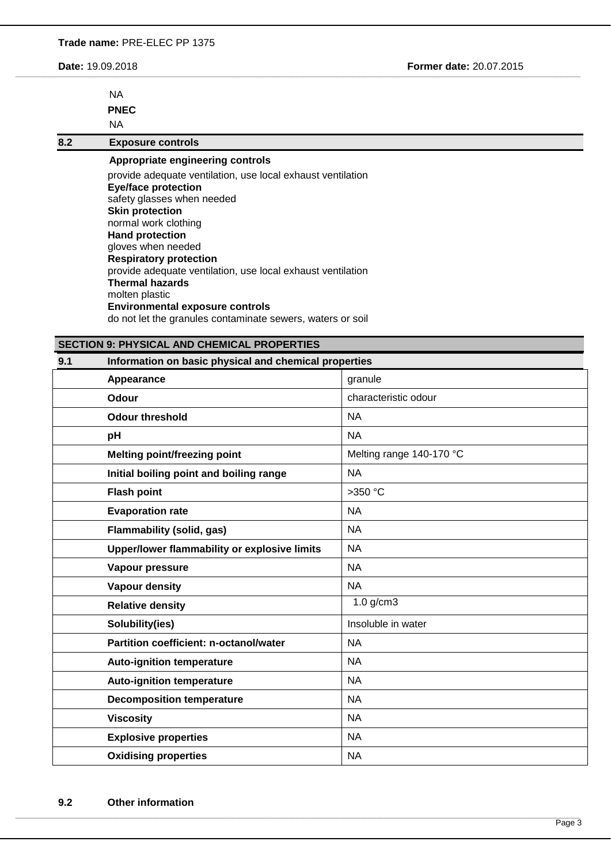**Date:** 19.09.2018 **Former date:** 20.07.2015

| ΝA          |
|-------------|
| <b>PNEC</b> |
| ΝA          |

**8.2 Exposure controls**

**Appropriate engineering controls**  provide adequate ventilation, use local exhaust ventilation **Eye/face protection** safety glasses when needed **Skin protection** normal work clothing **Hand protection** gloves when needed **Respiratory protection** provide adequate ventilation, use local exhaust ventilation **Thermal hazards** molten plastic **Environmental exposure controls** do not let the granules contaminate sewers, waters or soil

\_\_\_\_\_\_\_\_\_\_\_\_\_\_\_\_\_\_\_\_\_\_\_\_\_\_\_\_\_\_\_\_\_\_\_\_\_\_\_\_\_\_\_\_\_\_\_\_\_\_\_\_\_\_\_\_\_\_\_\_\_\_\_\_\_\_\_\_\_\_\_\_\_\_\_\_\_\_\_\_\_\_\_\_\_\_\_\_\_\_\_\_\_\_\_\_\_\_\_\_\_\_\_\_\_\_\_\_\_\_\_\_\_\_\_\_\_\_\_\_\_\_\_\_\_\_\_\_\_\_\_\_\_\_\_\_\_\_\_\_\_\_\_\_\_\_\_\_\_\_\_\_\_\_\_\_\_\_\_\_\_\_\_\_\_\_\_\_\_\_\_\_\_\_\_\_\_\_\_\_\_\_\_\_\_\_\_\_\_\_\_\_\_\_\_\_\_\_\_\_\_\_\_\_\_\_\_\_\_\_\_\_\_\_\_\_\_\_\_\_\_\_\_\_\_\_\_\_\_\_\_\_\_\_\_\_\_\_\_\_\_\_\_\_\_\_\_\_\_\_\_\_\_\_\_

# **SECTION 9: PHYSICAL AND CHEMICAL PROPERTIES**

# **9.1 Information on basic physical and chemical properties**

| Appearance                                   | granule                  |
|----------------------------------------------|--------------------------|
| <b>Odour</b>                                 | characteristic odour     |
| <b>Odour threshold</b>                       | <b>NA</b>                |
| pH                                           | <b>NA</b>                |
| <b>Melting point/freezing point</b>          | Melting range 140-170 °C |
| Initial boiling point and boiling range      | <b>NA</b>                |
| <b>Flash point</b>                           | >350 °C                  |
| <b>Evaporation rate</b>                      | <b>NA</b>                |
| <b>Flammability (solid, gas)</b>             | <b>NA</b>                |
| Upper/lower flammability or explosive limits | <b>NA</b>                |
| Vapour pressure                              | <b>NA</b>                |
| <b>Vapour density</b>                        | <b>NA</b>                |
| <b>Relative density</b>                      | $1.0$ g/cm3              |
| Solubility(ies)                              | Insoluble in water       |
| Partition coefficient: n-octanol/water       | <b>NA</b>                |
| <b>Auto-ignition temperature</b>             | <b>NA</b>                |
| <b>Auto-ignition temperature</b>             | <b>NA</b>                |
| <b>Decomposition temperature</b>             | <b>NA</b>                |
| <b>Viscosity</b>                             | <b>NA</b>                |
| <b>Explosive properties</b>                  | <b>NA</b>                |
| <b>Oxidising properties</b>                  | <b>NA</b>                |

,我们也不能在这里的时候,我们也不能在这里,我们也不能在这里的时候,我们也不能在这里,我们也不能在这里的时候,我们也不能在这里的时候,我们也不能会不能在这里的时候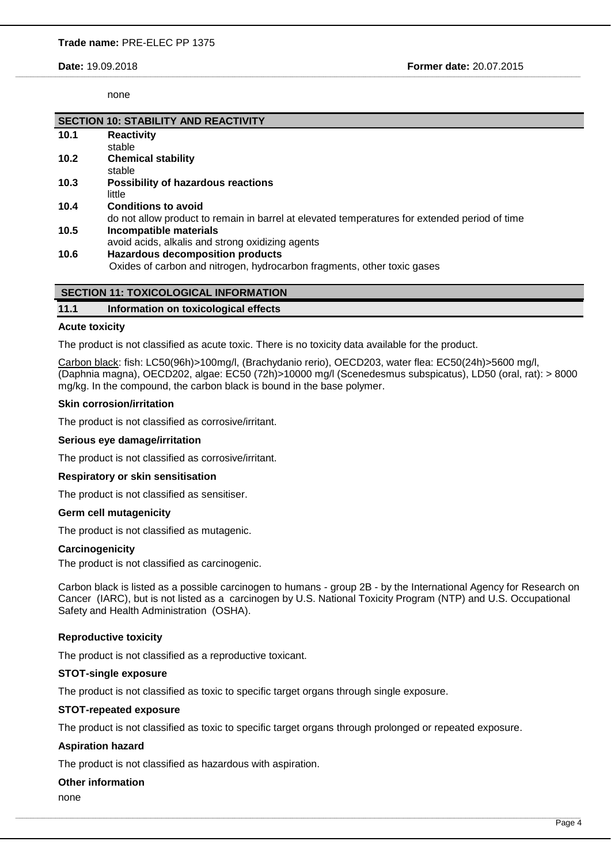**Date:** 19.09.2018 **Former date:** 20.07.2015

none

|      | <b>SECTION 10: STABILITY AND REACTIVITY</b>                                                   |
|------|-----------------------------------------------------------------------------------------------|
| 10.1 | <b>Reactivity</b>                                                                             |
|      | stable                                                                                        |
| 10.2 | <b>Chemical stability</b>                                                                     |
|      | stable                                                                                        |
| 10.3 | <b>Possibility of hazardous reactions</b>                                                     |
|      | little                                                                                        |
| 10.4 | <b>Conditions to avoid</b>                                                                    |
|      | do not allow product to remain in barrel at elevated temperatures for extended period of time |
| 10.5 | Incompatible materials                                                                        |
|      | avoid acids, alkalis and strong oxidizing agents                                              |
| 10.6 | <b>Hazardous decomposition products</b>                                                       |
|      | Oxides of carbon and nitrogen, hydrocarbon fragments, other toxic gases                       |
|      |                                                                                               |

\_\_\_\_\_\_\_\_\_\_\_\_\_\_\_\_\_\_\_\_\_\_\_\_\_\_\_\_\_\_\_\_\_\_\_\_\_\_\_\_\_\_\_\_\_\_\_\_\_\_\_\_\_\_\_\_\_\_\_\_\_\_\_\_\_\_\_\_\_\_\_\_\_\_\_\_\_\_\_\_\_\_\_\_\_\_\_\_\_\_\_\_\_\_\_\_\_\_\_\_\_\_\_\_\_\_\_\_\_\_\_\_\_\_\_\_\_\_\_\_\_\_\_\_\_\_\_\_\_\_\_\_\_\_\_\_\_\_\_\_\_\_\_\_\_\_\_\_\_\_\_\_\_\_\_\_\_\_\_\_\_\_\_\_\_\_\_\_\_\_\_\_\_\_\_\_\_\_\_\_\_\_\_\_\_\_\_\_\_\_\_\_\_\_\_\_\_\_\_\_\_\_\_\_\_\_\_\_\_\_\_\_\_\_\_\_\_\_\_\_\_\_\_\_\_\_\_\_\_\_\_\_\_\_\_\_\_\_\_\_\_\_\_\_\_\_\_\_\_\_\_\_\_\_\_

# **11.1 Information on toxicological effects**

### **Acute toxicity**

The product is not classified as acute toxic. There is no toxicity data available for the product.

Carbon black: fish: LC50(96h)>100mg/l, (Brachydanio rerio), OECD203, water flea: EC50(24h)>5600 mg/l, (Daphnia magna), OECD202, algae: EC50 (72h)>10000 mg/l (Scenedesmus subspicatus), LD50 (oral, rat): > 8000 mg/kg. In the compound, the carbon black is bound in the base polymer.

### **Skin corrosion/irritation**

The product is not classified as corrosive/irritant.

#### **Serious eye damage/irritation**

The product is not classified as corrosive/irritant.

#### **Respiratory or skin sensitisation**

The product is not classified as sensitiser.

## **Germ cell mutagenicity**

The product is not classified as mutagenic.

#### **Carcinogenicity**

The product is not classified as carcinogenic.

Carbon black is listed as a possible carcinogen to humans - group 2B - by the International Agency for Research on Cancer (IARC), but is not listed as a carcinogen by U.S. National Toxicity Program (NTP) and U.S. Occupational Safety and Health Administration (OSHA).

## **Reproductive toxicity**

The product is not classified as a reproductive toxicant.

## **STOT-single exposure**

The product is not classified as toxic to specific target organs through single exposure.

#### **STOT-repeated exposure**

The product is not classified as toxic to specific target organs through prolonged or repeated exposure.

,我们也不能在这里的时候,我们也不能在这里,我们也不能在这里的时候,我们也不能在这里,我们也不能在这里的时候,我们也不能在这里的时候,我们也不能会不能在这里的时候

## **Aspiration hazard**

The product is not classified as hazardous with aspiration.

# **Other information**

none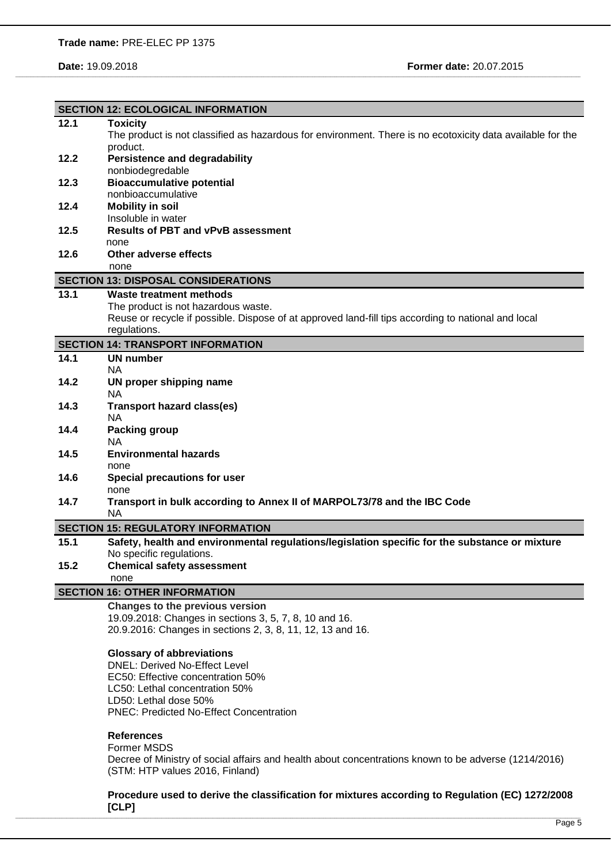| 12.1 | <b>SECTION 12: ECOLOGICAL INFORMATION</b>                                                                                                                                                                        |
|------|------------------------------------------------------------------------------------------------------------------------------------------------------------------------------------------------------------------|
|      | <b>Toxicity</b>                                                                                                                                                                                                  |
|      | The product is not classified as hazardous for environment. There is no ecotoxicity data available for the                                                                                                       |
|      | product.                                                                                                                                                                                                         |
| 12.2 | <b>Persistence and degradability</b>                                                                                                                                                                             |
|      | nonbiodegredable                                                                                                                                                                                                 |
| 12.3 | <b>Bioaccumulative potential</b>                                                                                                                                                                                 |
|      | nonbioaccumulative                                                                                                                                                                                               |
| 12.4 | <b>Mobility in soil</b>                                                                                                                                                                                          |
|      | Insoluble in water                                                                                                                                                                                               |
| 12.5 | <b>Results of PBT and vPvB assessment</b>                                                                                                                                                                        |
|      | none                                                                                                                                                                                                             |
| 12.6 | Other adverse effects                                                                                                                                                                                            |
|      | none                                                                                                                                                                                                             |
|      | <b>SECTION 13: DISPOSAL CONSIDERATIONS</b>                                                                                                                                                                       |
| 13.1 | <b>Waste treatment methods</b>                                                                                                                                                                                   |
|      | The product is not hazardous waste.                                                                                                                                                                              |
|      | Reuse or recycle if possible. Dispose of at approved land-fill tips according to national and local                                                                                                              |
|      |                                                                                                                                                                                                                  |
|      | regulations.                                                                                                                                                                                                     |
|      | <b>SECTION 14: TRANSPORT INFORMATION</b>                                                                                                                                                                         |
| 14.1 | <b>UN number</b>                                                                                                                                                                                                 |
|      | <b>NA</b>                                                                                                                                                                                                        |
| 14.2 | UN proper shipping name                                                                                                                                                                                          |
|      | <b>NA</b>                                                                                                                                                                                                        |
| 14.3 | <b>Transport hazard class(es)</b>                                                                                                                                                                                |
|      | <b>NA</b>                                                                                                                                                                                                        |
| 14.4 | <b>Packing group</b>                                                                                                                                                                                             |
|      | <b>NA</b>                                                                                                                                                                                                        |
| 14.5 | <b>Environmental hazards</b>                                                                                                                                                                                     |
|      | none                                                                                                                                                                                                             |
| 14.6 | <b>Special precautions for user</b>                                                                                                                                                                              |
|      | none                                                                                                                                                                                                             |
| 14.7 | Transport in bulk according to Annex II of MARPOL73/78 and the IBC Code                                                                                                                                          |
|      | <b>NA</b>                                                                                                                                                                                                        |
|      | <b>SECTION 15: REGULATORY INFORMATION</b>                                                                                                                                                                        |
| 15.1 | Safety, health and environmental regulations/legislation specific for the substance or mixture                                                                                                                   |
|      | No specific regulations.                                                                                                                                                                                         |
| 15.2 | <b>Chemical safety assessment</b>                                                                                                                                                                                |
|      | none                                                                                                                                                                                                             |
|      |                                                                                                                                                                                                                  |
|      |                                                                                                                                                                                                                  |
|      | <b>SECTION 16: OTHER INFORMATION</b>                                                                                                                                                                             |
|      | Changes to the previous version                                                                                                                                                                                  |
|      | 19.09.2018: Changes in sections 3, 5, 7, 8, 10 and 16.                                                                                                                                                           |
|      | 20.9.2016: Changes in sections 2, 3, 8, 11, 12, 13 and 16.                                                                                                                                                       |
|      |                                                                                                                                                                                                                  |
|      | <b>Glossary of abbreviations</b>                                                                                                                                                                                 |
|      | <b>DNEL: Derived No-Effect Level</b>                                                                                                                                                                             |
|      | EC50: Effective concentration 50%                                                                                                                                                                                |
|      | LC50: Lethal concentration 50%                                                                                                                                                                                   |
|      | LD50: Lethal dose 50%                                                                                                                                                                                            |
|      | <b>PNEC: Predicted No-Effect Concentration</b>                                                                                                                                                                   |
|      |                                                                                                                                                                                                                  |
|      | <b>References</b>                                                                                                                                                                                                |
|      | <b>Former MSDS</b>                                                                                                                                                                                               |
|      |                                                                                                                                                                                                                  |
|      | (STM: HTP values 2016, Finland)                                                                                                                                                                                  |
|      |                                                                                                                                                                                                                  |
|      | Decree of Ministry of social affairs and health about concentrations known to be adverse (1214/2016)<br>Procedure used to derive the classification for mixtures according to Regulation (EC) 1272/2008<br>[CLP] |

\_\_\_\_\_\_\_\_\_\_\_\_\_\_\_\_\_\_\_\_\_\_\_\_\_\_\_\_\_\_\_\_\_\_\_\_\_\_\_\_\_\_\_\_\_\_\_\_\_\_\_\_\_\_\_\_\_\_\_\_\_\_\_\_\_\_\_\_\_\_\_\_\_\_\_\_\_\_\_\_\_\_\_\_\_\_\_\_\_\_\_\_\_\_\_\_\_\_\_\_\_\_\_\_\_\_\_\_\_\_\_\_\_\_\_\_\_\_\_\_\_\_\_\_\_\_\_\_\_\_\_\_\_\_\_\_\_\_\_\_\_\_\_\_\_\_\_\_\_\_\_\_\_\_\_\_\_\_\_\_\_\_\_\_\_\_\_\_\_\_\_\_\_\_\_\_\_\_\_\_\_\_\_\_\_\_\_\_\_\_\_\_\_\_\_\_\_\_\_\_\_\_\_\_\_\_\_\_\_\_\_\_\_\_\_\_\_\_\_\_\_\_\_\_\_\_\_\_\_\_\_\_\_\_\_\_\_\_\_\_\_\_\_\_\_\_\_\_\_\_\_\_\_\_\_